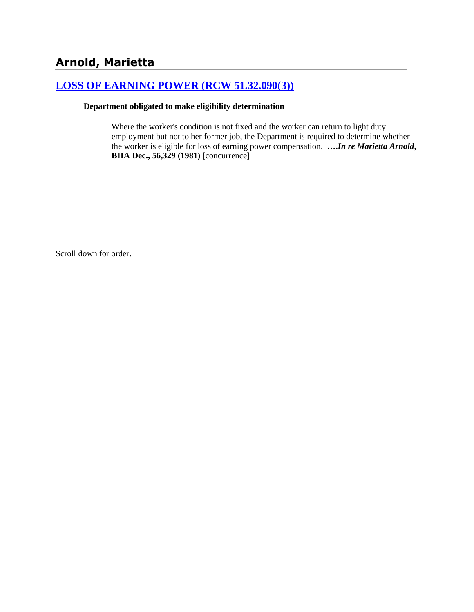# **Arnold, Marietta**

## **[LOSS OF EARNING POWER \(RCW 51.32.090\(3\)\)](http://www.biia.wa.gov/SDSubjectIndex.html#LOSS_OF_EARNING_POWER)**

#### **Department obligated to make eligibility determination**

Where the worker's condition is not fixed and the worker can return to light duty employment but not to her former job, the Department is required to determine whether the worker is eligible for loss of earning power compensation. **….***In re Marietta Arnold***, BIIA Dec., 56,329 (1981)** [concurrence]

Scroll down for order.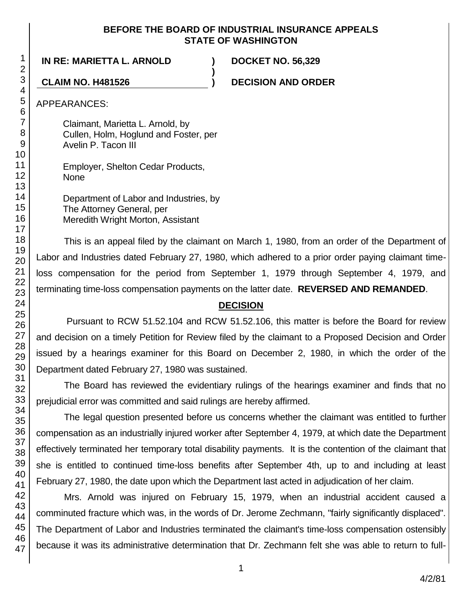### **BEFORE THE BOARD OF INDUSTRIAL INSURANCE APPEALS STATE OF WASHINGTON**

**)**

**IN RE: MARIETTA L. ARNOLD ) DOCKET NO. 56,329**

**CLAIM NO. H481526 ) DECISION AND ORDER**

APPEARANCES:

Claimant, Marietta L. Arnold, by Cullen, Holm, Hoglund and Foster, per Avelin P. Tacon III

Employer, Shelton Cedar Products, None

Department of Labor and Industries, by The Attorney General, per Meredith Wright Morton, Assistant

This is an appeal filed by the claimant on March 1, 1980, from an order of the Department of Labor and Industries dated February 27, 1980, which adhered to a prior order paying claimant timeloss compensation for the period from September 1, 1979 through September 4, 1979, and terminating time-loss compensation payments on the latter date. **REVERSED AND REMANDED**.

## **DECISION**

Pursuant to RCW 51.52.104 and RCW 51.52.106, this matter is before the Board for review and decision on a timely Petition for Review filed by the claimant to a Proposed Decision and Order issued by a hearings examiner for this Board on December 2, 1980, in which the order of the Department dated February 27, 1980 was sustained.

The Board has reviewed the evidentiary rulings of the hearings examiner and finds that no prejudicial error was committed and said rulings are hereby affirmed.

The legal question presented before us concerns whether the claimant was entitled to further compensation as an industrially injured worker after September 4, 1979, at which date the Department effectively terminated her temporary total disability payments. It is the contention of the claimant that she is entitled to continued time-loss benefits after September 4th, up to and including at least February 27, 1980, the date upon which the Department last acted in adjudication of her claim.

Mrs. Arnold was injured on February 15, 1979, when an industrial accident caused a comminuted fracture which was, in the words of Dr. Jerome Zechmann, "fairly significantly displaced". The Department of Labor and Industries terminated the claimant's time-loss compensation ostensibly because it was its administrative determination that Dr. Zechmann felt she was able to return to full-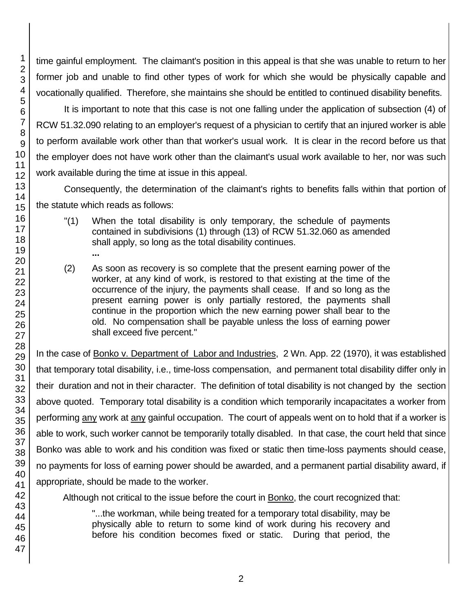time gainful employment. The claimant's position in this appeal is that she was unable to return to her former job and unable to find other types of work for which she would be physically capable and vocationally qualified. Therefore, she maintains she should be entitled to continued disability benefits.

It is important to note that this case is not one falling under the application of subsection (4) of RCW 51.32.090 relating to an employer's request of a physician to certify that an injured worker is able to perform available work other than that worker's usual work. It is clear in the record before us that the employer does not have work other than the claimant's usual work available to her, nor was such work available during the time at issue in this appeal.

Consequently, the determination of the claimant's rights to benefits falls within that portion of the statute which reads as follows:

- "(1) When the total disability is only temporary, the schedule of payments contained in subdivisions (1) through (13) of RCW 51.32.060 as amended shall apply, so long as the total disability continues.
- (2) As soon as recovery is so complete that the present earning power of the worker, at any kind of work, is restored to that existing at the time of the occurrence of the injury, the payments shall cease. If and so long as the present earning power is only partially restored, the payments shall continue in the proportion which the new earning power shall bear to the old. No compensation shall be payable unless the loss of earning power shall exceed five percent."

In the case of Bonko v. Department of Labor and Industries, 2 Wn. App. 22 (1970), it was established that temporary total disability, i.e., time-loss compensation, and permanent total disability differ only in their duration and not in their character. The definition of total disability is not changed by the section above quoted. Temporary total disability is a condition which temporarily incapacitates a worker from performing any work at any gainful occupation. The court of appeals went on to hold that if a worker is able to work, such worker cannot be temporarily totally disabled. In that case, the court held that since Bonko was able to work and his condition was fixed or static then time-loss payments should cease, no payments for loss of earning power should be awarded, and a permanent partial disability award, if appropriate, should be made to the worker.

Although not critical to the issue before the court in Bonko, the court recognized that:

"...the workman, while being treated for a temporary total disability, may be physically able to return to some kind of work during his recovery and before his condition becomes fixed or static. During that period, the

**...**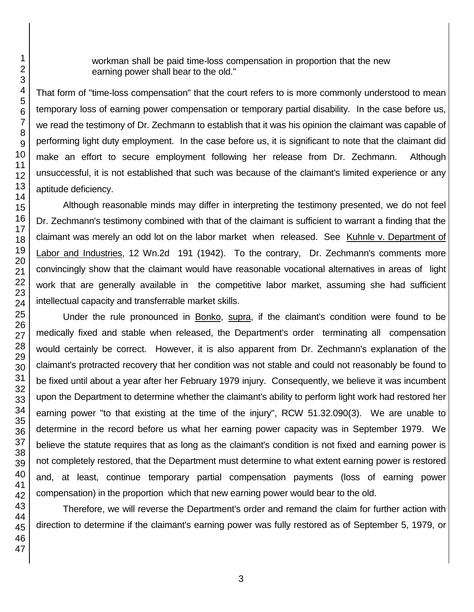workman shall be paid time-loss compensation in proportion that the new earning power shall bear to the old."

That form of "time-loss compensation" that the court refers to is more commonly understood to mean temporary loss of earning power compensation or temporary partial disability. In the case before us, we read the testimony of Dr. Zechmann to establish that it was his opinion the claimant was capable of performing light duty employment. In the case before us, it is significant to note that the claimant did make an effort to secure employment following her release from Dr. Zechmann. Although unsuccessful, it is not established that such was because of the claimant's limited experience or any aptitude deficiency.

Although reasonable minds may differ in interpreting the testimony presented, we do not feel Dr. Zechmann's testimony combined with that of the claimant is sufficient to warrant a finding that the claimant was merely an odd lot on the labor market when released. See Kuhnle v. Department of Labor and Industries, 12 Wn.2d 191 (1942). To the contrary, Dr. Zechmann's comments more convincingly show that the claimant would have reasonable vocational alternatives in areas of light work that are generally available in the competitive labor market, assuming she had sufficient intellectual capacity and transferrable market skills.

Under the rule pronounced in Bonko, supra, if the claimant's condition were found to be medically fixed and stable when released, the Department's order terminating all compensation would certainly be correct. However, it is also apparent from Dr. Zechmann's explanation of the claimant's protracted recovery that her condition was not stable and could not reasonably be found to be fixed until about a year after her February 1979 injury. Consequently, we believe it was incumbent upon the Department to determine whether the claimant's ability to perform light work had restored her earning power "to that existing at the time of the injury", RCW 51.32.090(3). We are unable to determine in the record before us what her earning power capacity was in September 1979. We believe the statute requires that as long as the claimant's condition is not fixed and earning power is not completely restored, that the Department must determine to what extent earning power is restored and, at least, continue temporary partial compensation payments (loss of earning power compensation) in the proportion which that new earning power would bear to the old.

Therefore, we will reverse the Department's order and remand the claim for further action with direction to determine if the claimant's earning power was fully restored as of September 5, 1979, or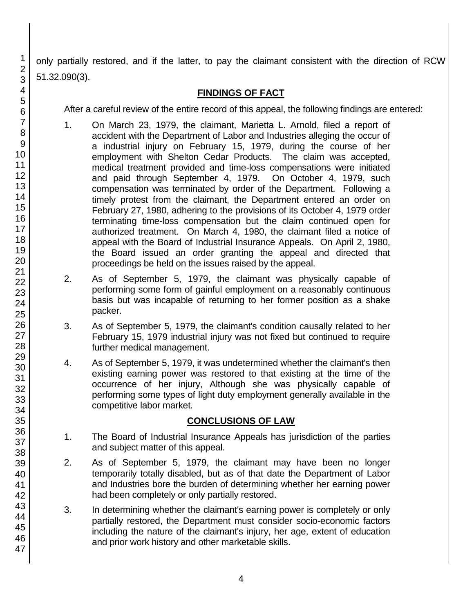only partially restored, and if the latter, to pay the claimant consistent with the direction of RCW 51.32.090(3).

## **FINDINGS OF FACT**

After a careful review of the entire record of this appeal, the following findings are entered:

- 1. On March 23, 1979, the claimant, Marietta L. Arnold, filed a report of accident with the Department of Labor and Industries alleging the occur of a industrial injury on February 15, 1979, during the course of her employment with Shelton Cedar Products. The claim was accepted, medical treatment provided and time-loss compensations were initiated and paid through September 4, 1979. On October 4, 1979, such compensation was terminated by order of the Department. Following a timely protest from the claimant, the Department entered an order on February 27, 1980, adhering to the provisions of its October 4, 1979 order terminating time-loss compensation but the claim continued open for authorized treatment. On March 4, 1980, the claimant filed a notice of appeal with the Board of Industrial Insurance Appeals. On April 2, 1980, the Board issued an order granting the appeal and directed that proceedings be held on the issues raised by the appeal.
- 2. As of September 5, 1979, the claimant was physically capable of performing some form of gainful employment on a reasonably continuous basis but was incapable of returning to her former position as a shake packer.
- 3. As of September 5, 1979, the claimant's condition causally related to her February 15, 1979 industrial injury was not fixed but continued to require further medical management.
- 4. As of September 5, 1979, it was undetermined whether the claimant's then existing earning power was restored to that existing at the time of the occurrence of her injury, Although she was physically capable of performing some types of light duty employment generally available in the competitive labor market.

## **CONCLUSIONS OF LAW**

- 1. The Board of Industrial Insurance Appeals has jurisdiction of the parties and subject matter of this appeal.
- 2. As of September 5, 1979, the claimant may have been no longer temporarily totally disabled, but as of that date the Department of Labor and Industries bore the burden of determining whether her earning power had been completely or only partially restored.
- 3. In determining whether the claimant's earning power is completely or only partially restored, the Department must consider socio-economic factors including the nature of the claimant's injury, her age, extent of education and prior work history and other marketable skills.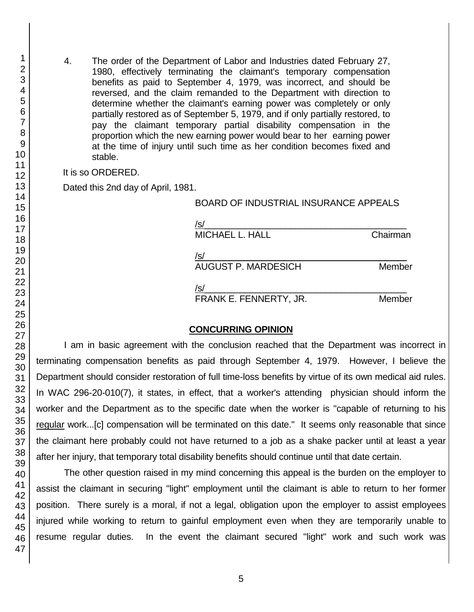4. The order of the Department of Labor and Industries dated February 27, 1980, effectively terminating the claimant's temporary compensation benefits as paid to September 4, 1979, was incorrect, and should be reversed, and the claim remanded to the Department with direction to determine whether the claimant's earning power was completely or only partially restored as of September 5, 1979, and if only partially restored, to pay the claimant temporary partial disability compensation in the proportion which the new earning power would bear to her earning power at the time of injury until such time as her condition becomes fixed and stable.

It is so ORDERED.

Dated this 2nd day of April, 1981.

#### BOARD OF INDUSTRIAL INSURANCE APPEALS

| /s/                        |          |
|----------------------------|----------|
| <b>MICHAEL L. HALL</b>     | Chairman |
|                            |          |
| /s/                        |          |
| <b>AUGUST P. MARDESICH</b> | Member   |
| /s/                        |          |
|                            |          |
| FRANK E. FENNERTY, JR.     | Member   |

### **CONCURRING OPINION**

I am in basic agreement with the conclusion reached that the Department was incorrect in terminating compensation benefits as paid through September 4, 1979. However, I believe the Department should consider restoration of full time-loss benefits by virtue of its own medical aid rules. In WAC 296-20-010(7), it states, in effect, that a worker's attending physician should inform the worker and the Department as to the specific date when the worker is "capable of returning to his regular work...[c] compensation will be terminated on this date." It seems only reasonable that since the claimant here probably could not have returned to a job as a shake packer until at least a year after her injury, that temporary total disability benefits should continue until that date certain.

The other question raised in my mind concerning this appeal is the burden on the employer to assist the claimant in securing "light" employment until the claimant is able to return to her former position. There surely is a moral, if not a legal, obligation upon the employer to assist employees injured while working to return to gainful employment even when they are temporarily unable to resume regular duties. In the event the claimant secured "light" work and such work was